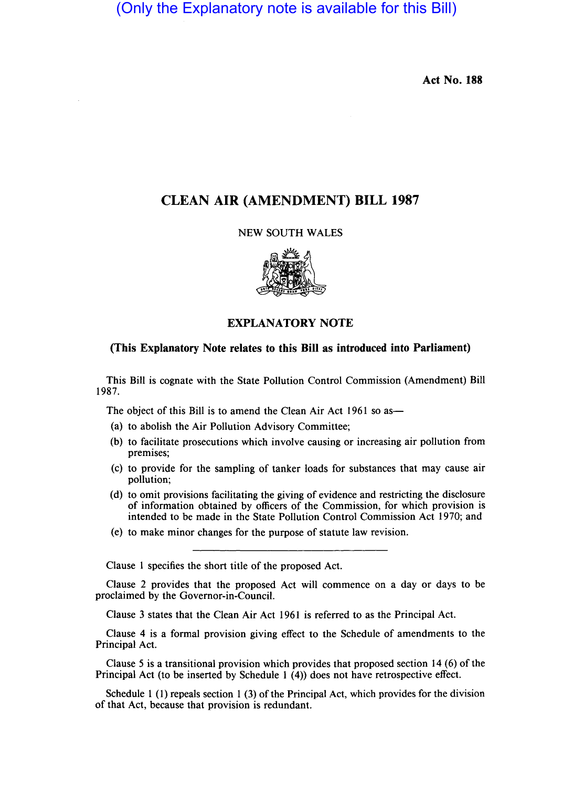(Only the Explanatory note is available for this Bill)

Act No. 188

## CLEAN AIR (AMENDMENT) BILL 1987

## NEW SOUTH WALES



## EXPLANATORY NOTE

## (This Explanatory Note relates to this Bill as introduced into Parliament)

This Bill is cognate with the State Pollution Control Commission (Amendment) Bill 1987.

The object of this Bill is to amend the Clean Air Act 1961 so as—

- (a) to abolish the Air Pollution Advisory Committee;
- (b) to facilitate prosecutions which involve causing or increasing air pollution from premises;
- (c) to provide for the sampling of tanker loads for substances that may cause air pollution;
- (d) to omit provisions facilitating the giving of evidence and restricting the disclosure of information obtained by officers of the Commission, for which provision is intended to be made in the State Pollution Control Commission Act 1970; and
- (e) to make minor changes for the purpose of statute law revision.

Clause 1 specifies the short title of the proposed Act.

Clause 2 provides that the proposed Act will commence on a day or days to be proclaimed by the Governor-in-Council.

Clause 3 states that the Clean Air Act 1961 is referred to as the Principal Act.

Clause 4 is a formal provision giving effect to the Schedule of amendments to the Principal Act.

Clause 5 is a transitional provision which provides that proposed section 14 (6) of the Principal Act (to be inserted by Schedule I (4)) does not have retrospective effect.

Schedule 1 (1) repeals section 1 (3) of the Principal Act, which provides for the division of that Act, because that provision is redundant.